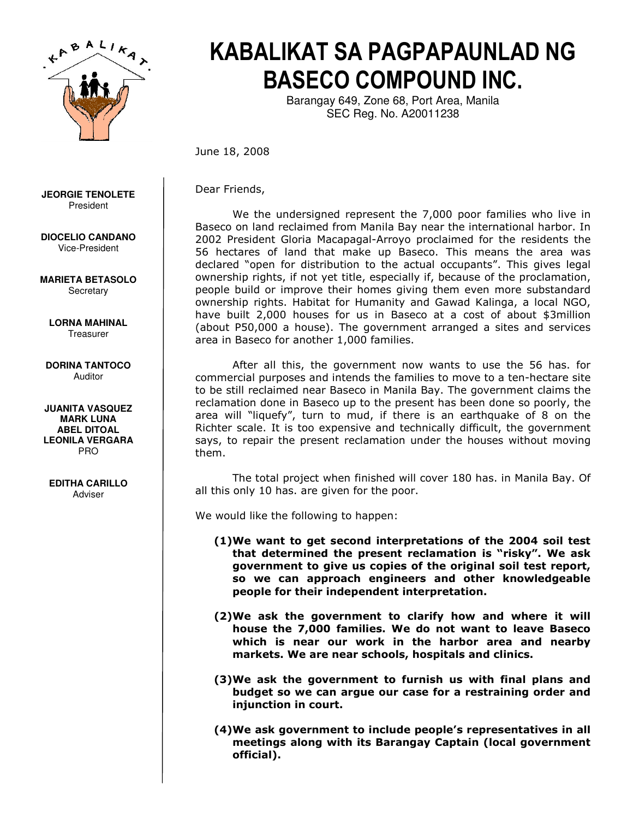

## KABALIKAT SA PAGPAPAUNLAD NG BASECO COMPOUND INC.

Barangay 649, Zone 68, Port Area, Manila SEC Reg. No. A20011238

June 18, 2008

**JEORGIE TENOLETE**  President

**DIOCELIO CANDANO**  Vice-President

**MARIETA BETASOLO Secretary** 

**LORNA MAHINAL Treasurer** 

## **DORINA TANTOCO**  Auditor

**JUANITA VASQUEZ MARK LUNA ABEL DITOAL LEONILA VERGARA**  PRO

## **EDITHA CARILLO**  Adviser

Dear Friends,

We the undersigned represent the 7,000 poor families who live in Baseco on land reclaimed from Manila Bay near the international harbor. In 2002 President Gloria Macapagal-Arroyo proclaimed for the residents the 56 hectares of land that make up Baseco. This means the area was declared "open for distribution to the actual occupants". This gives legal ownership rights, if not yet title, especially if, because of the proclamation, people build or improve their homes giving them even more substandard ownership rights. Habitat for Humanity and Gawad Kalinga, a local NGO, have built 2,000 houses for us in Baseco at a cost of about \$3million (about P50,000 a house). The government arranged a sites and services area in Baseco for another 1,000 families.

After all this, the government now wants to use the 56 has. for commercial purposes and intends the families to move to a ten-hectare site to be still reclaimed near Baseco in Manila Bay. The government claims the reclamation done in Baseco up to the present has been done so poorly, the area will "liquefy", turn to mud, if there is an earthquake of 8 on the Richter scale. It is too expensive and technically difficult, the government says, to repair the present reclamation under the houses without moving them.

The total project when finished will cover 180 has. in Manila Bay. Of all this only 10 has. are given for the poor.

We would like the following to happen:

- (1)We want to get second interpretations of the 2004 soil test that determined the present reclamation is "risky". We ask government to give us copies of the original soil test report, so we can approach engineers and other knowledgeable people for their independent interpretation.
- (2)We ask the government to clarify how and where it will house the 7,000 families. We do not want to leave Baseco which is near our work in the harbor area and nearby markets. We are near schools, hospitals and clinics.
- (3)We ask the government to furnish us with final plans and budget so we can argue our case for a restraining order and injunction in court.
- (4)We ask government to include people's representatives in all meetings along with its Barangay Captain (local government official).